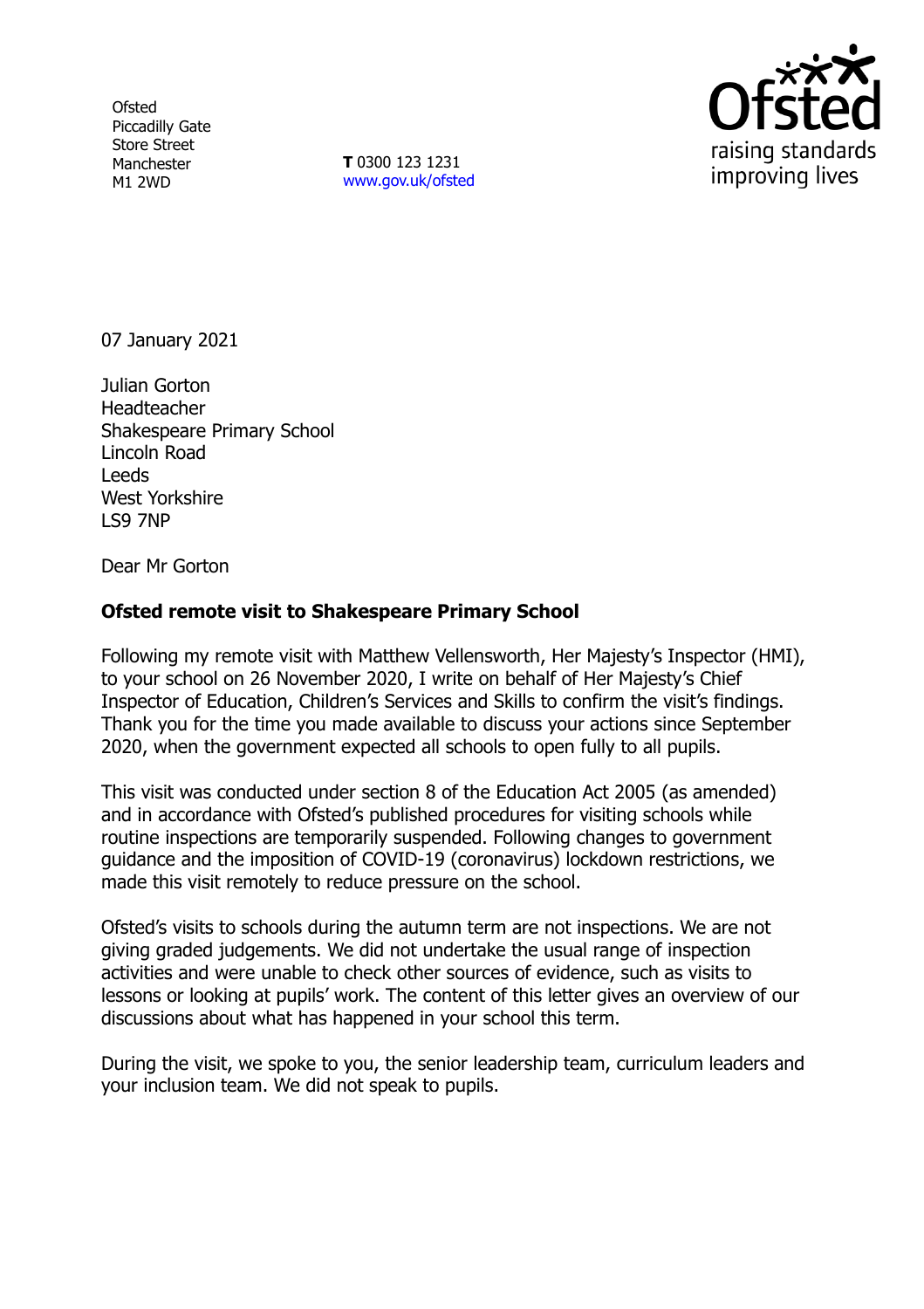**Ofsted** Piccadilly Gate Store Street Manchester M1 2WD

**T** 0300 123 1231 [www.gov.uk/ofsted](http://www.gov.uk/ofsted)



07 January 2021

Julian Gorton **Headteacher** Shakespeare Primary School Lincoln Road Leeds West Yorkshire LS9 7NP

Dear Mr Gorton

## **Ofsted remote visit to Shakespeare Primary School**

Following my remote visit with Matthew Vellensworth, Her Majesty's Inspector (HMI), to your school on 26 November 2020, I write on behalf of Her Majesty's Chief Inspector of Education, Children's Services and Skills to confirm the visit's findings. Thank you for the time you made available to discuss your actions since September 2020, when the government expected all schools to open fully to all pupils.

This visit was conducted under section 8 of the Education Act 2005 (as amended) and in accordance with Ofsted's published procedures for visiting schools while routine inspections are temporarily suspended. Following changes to government guidance and the imposition of COVID-19 (coronavirus) lockdown restrictions, we made this visit remotely to reduce pressure on the school.

Ofsted's visits to schools during the autumn term are not inspections. We are not giving graded judgements. We did not undertake the usual range of inspection activities and were unable to check other sources of evidence, such as visits to lessons or looking at pupils' work. The content of this letter gives an overview of our discussions about what has happened in your school this term.

During the visit, we spoke to you, the senior leadership team, curriculum leaders and your inclusion team. We did not speak to pupils.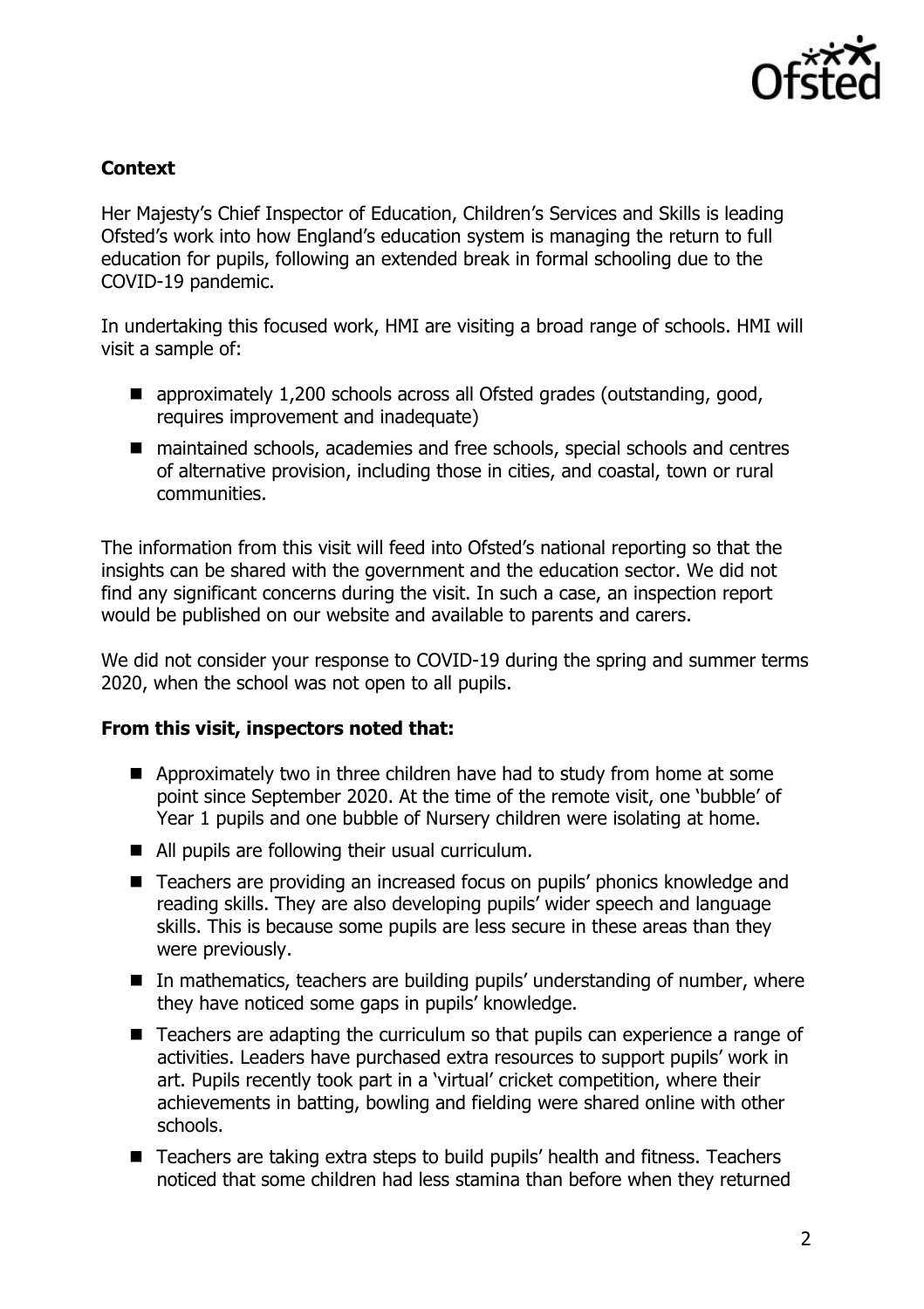

## **Context**

Her Majesty's Chief Inspector of Education, Children's Services and Skills is leading Ofsted's work into how England's education system is managing the return to full education for pupils, following an extended break in formal schooling due to the COVID-19 pandemic.

In undertaking this focused work, HMI are visiting a broad range of schools. HMI will visit a sample of:

- approximately 1,200 schools across all Ofsted grades (outstanding, good, requires improvement and inadequate)
- maintained schools, academies and free schools, special schools and centres of alternative provision, including those in cities, and coastal, town or rural communities.

The information from this visit will feed into Ofsted's national reporting so that the insights can be shared with the government and the education sector. We did not find any significant concerns during the visit. In such a case, an inspection report would be published on our website and available to parents and carers.

We did not consider your response to COVID-19 during the spring and summer terms 2020, when the school was not open to all pupils.

## **From this visit, inspectors noted that:**

- Approximately two in three children have had to study from home at some point since September 2020. At the time of the remote visit, one 'bubble' of Year 1 pupils and one bubble of Nursery children were isolating at home.
- All pupils are following their usual curriculum.
- Teachers are providing an increased focus on pupils' phonics knowledge and reading skills. They are also developing pupils' wider speech and language skills. This is because some pupils are less secure in these areas than they were previously.
- In mathematics, teachers are building pupils' understanding of number, where they have noticed some gaps in pupils' knowledge.
- Teachers are adapting the curriculum so that pupils can experience a range of activities. Leaders have purchased extra resources to support pupils' work in art. Pupils recently took part in a 'virtual' cricket competition, where their achievements in batting, bowling and fielding were shared online with other schools.
- Teachers are taking extra steps to build pupils' health and fitness. Teachers noticed that some children had less stamina than before when they returned